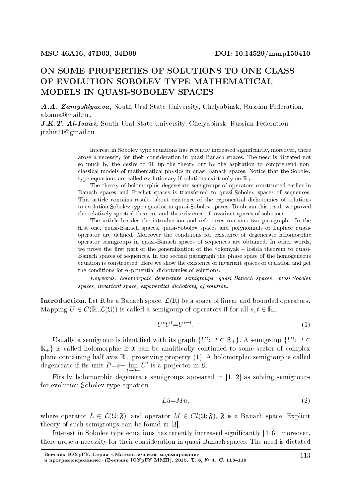# ON SOME PROPERTIES OF SOLUTIONS TO ONE CLASS OF EVOLUTION SOBOLEV TYPE MATHEMATICAL MODELS IN QUASI-SOBOLEV SPACES

A.A. Zamyshlyaeva, South Ural State University, Chelyabinsk, Russian Federation, alzama@mail.ru,

J.K.T. Al-Isawi, South Ural State University, Chelyabinsk, Russian Federation, jtahir71@gmail.ru

> Interest in Sobolev type equations has recently increased signicantly, moreover, there arose a necessity for their consideration in quasi-Banach spaces. The need is dictated not so much by the desire to fill up the theory but by the aspiration to comprehend nonclassical models of mathematical physics in quasi-Banach spaces. Notice that the Sobolev type equations are called evolutionary if solutions exist only on  $\mathbb{R}_+$ .

> The theory of holomorphic degenerate semigroups of operators constructed earlier in Banach spaces and Frechet spaces is transferred to quasi-Sobolev spaces of sequences. This article contains results about existence of the exponential dichotomies of solutions to evolution Sobolev type equation in quasi-Sobolev spaces. To obtain this result we proved the relatively spectral theorem and the existence of invariant spaces of solutions.

> The article besides the introduction and references contains two paragraphs. In the first one, quasi-Banach spaces, quasi-Sobolev spaces and polynomials of Laplace quasioperator are dened. Moreover the conditions for existence of degenerate holomorphic operator semigroups in quasi-Banach spaces of sequences are obtained. In other words, we prove the first part of the generalization of the Solomyak  $-$  Iosida theorem to quasi-Banach spaces of sequences. In the second paragraph the phase space of the homogeneous equation is constructed. Here we show the existence of invariant spaces of equation and get the conditions for exponential dichotomies of solutions.

> Keywords: holomorphic degenerate semigroups; quasi-Banach spaces; quasi-Sobolev spaces; invariant space; exponential dichotomy of solution.

**Introduction.** Let  $\mathfrak{U}$  be a Banach space,  $\mathcal{L}(\mathfrak{U})$  be a space of linear and bounded operators. Mapping  $U \in C(\mathbb{R}; \mathcal{L}(\mathfrak{U}))$  is called a semigroup of operators if for all  $s, t \in \mathbb{R}_+$ 

$$
U^s U^t = U^{s+t}.\tag{1}
$$

Usually a semigroup is identified with its graph  $\{U^t: t \in \mathbb{R}_+\}$ . A semigroup  $\{U^t: t \in$  $\mathbb{R}_+$ } is called holomorphic if it can be analitically continued to some sector of complex plane containing half axis  $\mathbb{R}_+$  preserving property (1). A holomorphic semigroup is called degenerate if its unit *P*=*s−* lim *t→*0+  $U^t$  is a projector in  $\mathfrak{U}$ .

Firstly holomorphic degenerate semigroups appeared in [1, 2] as solving semigroups for evolution Sobolev type equation

$$
Li=Mu,\tag{2}
$$

where operator  $L \in \mathcal{L}(\mathfrak{U}; \mathfrak{F})$ , and operator  $M \in Cl(\mathfrak{U}; \mathfrak{F})$ ,  $\mathfrak{F}$  is a Banach space. Explicit theory of such semigroups can be found in [3].

Interest in Sobolev type equations has recently increased significantly [4–6], moreover, there arose a necessity for their consideration in quasi-Banach spaces. The need is dictated

Вестник ЮУрГУ. Серия «Математическое моделирование и программирование≫ (Вестник ЮУрГУ ММП). 2015. T. 8, № 4. C. 113-119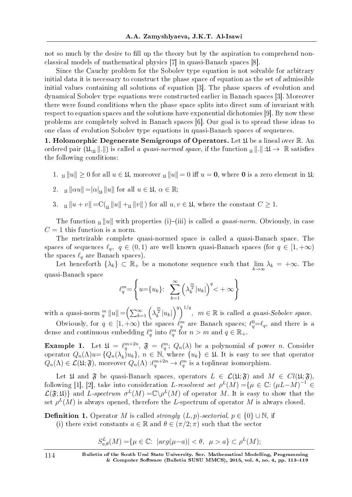not so much by the desire to fill up the theory but by the aspiration to comprehend nonclassical models of mathematical physics [7] in quasi-Banach spaces [8].

Since the Cauchy problem for the Sobolev type equation is not solvable for arbitrary initial data it is necessary to construct the phase space of equation as the set of admissible initial values containing all solutions of equation [3]. The phase spaces of evolution and dynamical Sobolev type equations were constructed earlier in Banach spaces [3]. Moreover there were found conditions when the phase space splits into direct sum of invariant with respect to equation spaces and the solutions have exponential dichotomies [9]. By now these problems are completely solved in Banach spaces [6]. Our goal is to spread these ideas to one class of evolution Sobolev type equations in quasi-Banach spaces of sequences.

1. Holomorphic Degenerate Semigroups of Operators. Let  $\mathfrak U$  be a lineal over  $\mathbb R$ . An ordered pair  $(\mathfrak{U}_{\mathfrak{U}} \| \| \|)$  is called a quasi-normed space, if the function  $\mathfrak{U} \| \| \mathfrak{U} \to \mathbb{R}$  satisfies the following conditions:

1. <u>µ</u><sub>*W*</sub> $|u||$  ≥ 0 for all *u* ∈ *Ω*, moreover <u>µ</u><sub>*W*</sub> $||u||$  = 0 iff *u* = **0**, where **0** is a zero element in *Ω*;

2. 
$$
\mathfrak{u} \|\alpha u\| = |\alpha|_{\mathfrak{U}} \|u\|
$$
 for all  $u \in \mathfrak{U}, \alpha \in \mathbb{R}$ ;

3.  $\mathfrak{u} \| u + v \| = C(\mathfrak{u} \| u \| + \mathfrak{u} \| v \|)$  for all  $u, v \in \mathfrak{U}$ , where the constant  $C \geq 1$ .

The function  $\mu \|u\|$  with properties (i)–(iii) is called a quasi-norm. Obviously, in case  $C = 1$  this function is a norm.

The metrizable complete quasi-normed space is called a quasi-Banach space. The spaces of sequences  $\ell_q$ ,  $q \in (0,1)$  are well known quasi-Banach spaces (for  $q \in [1,+\infty)$ the spaces  $\ell_q$  are Banach spaces).

Let henceforth  $\{\lambda_k\} \subset \mathbb{R}_+$  be a monotone sequence such that lim *k→∞*  $\lambda_k = +\infty$ . The quasi-Banach space

$$
\ell_q^m = \left\{ u = \left\{ u_k \right\}: \sum_{k=1}^{\infty} \left( \lambda_k^{\frac{m}{2}} |u_k| \right)^q < +\infty \right\}
$$

with a quasi-norm  $_m^m ||u|| = \left(\sum_{k=1}^{\infty} \left(\lambda_k^{\frac{m}{2}} |u_k|\right)^q\right)^{1/q}$ ,  $m \in \mathbb{R}$  is called a quasi-Sobolev space.

Obviously, for  $q \in [1, +\infty)$  the spaces  $\ell_q^m$  are Banach spaces;  $\ell_q^0 = \ell_q$ , and there is a dense and continuous embedding  $\ell_q^n$  into  $\ell_q^m$  for  $n > m$  and  $q \in \mathbb{R}_+$ .

**Example 1.** Let  $\mathfrak{U} = \ell_q^{m+2n}$ ,  $\mathfrak{F} = \ell_q^m$ ;  $Q_n(\lambda)$  be a polynomial of power *n*. Consider operator  $Q_n(\Lambda)u = \{Q_n(\lambda_k)u_k\}, n \in \mathbb{N}$ , where  $\{u_k\} \in \mathfrak{U}$ . It is easy to see that operator  $Q_n(\Lambda) \in \mathcal{L}(\mathfrak{U}; \mathfrak{F})$ , moreover  $Q_n(\Lambda) : \ell_q^{m+2n} \to \ell_q^m$  is a toplinear isomorphism.

Let  $\mathfrak{U}$  and  $\mathfrak{F}$  be quasi-Banach spaces, operators  $L \in \mathcal{L}(\mathfrak{U}; \mathfrak{F})$  and  $M \in Cl(\mathfrak{U}; \mathfrak{F})$ , following [1], [2], take into consideration *L*-resolvent set  $\rho^L(M) = \{ \mu \in \mathbb{C} : (\mu L - M)^{-1} \in$  $\mathcal{L}(\mathfrak{F};\mathfrak{U})$ } and *L*-spectrum  $\sigma^L(M) = \mathbb{C} \backslash \rho^L(M)$  of operator *M*. It is easy to show that the set  $\rho^L(M)$  is always opened, therefore the  $L$ -spectrum of operator  $M$  is always closed.

**Definition 1.** Operator *M* is called *strongly*  $(L, p)$ -sectorial,  $p \in \{0\} \cup \mathbb{N}$ , if

(i) there exist constants  $a \in \mathbb{R}$  and  $\theta \in (\pi/2; \pi)$  such that the sector

$$
S_{a,\theta}^{L}(M) = \{ \mu \in \mathbb{C} : \left| arg(\mu - a) \right| < \theta, \ \mu > a \} \subset \rho^{L}(M);
$$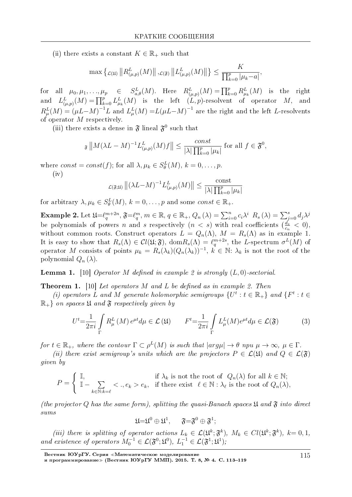(ii) there exists a constant  $K \in \mathbb{R}_+$  such that

 $\max\left\{\log_{\mu,p}(M)\right\|\log_{(\mu,p)}(M)\right\|, \log_{\mu,p}(M)\right\|_2^L \leq \frac{K}{\prod_{k=0}^p|\mu_k-a|},$ 

for all  $\mu_0, \mu_1, ..., \mu_p \in S_{a,\theta}^L(M)$ . Here  $R_{(\mu,p)}^L(M) = \prod_{k=0}^p R_{\mu_k}^L(M)$  is the right<br>and  $L_{(\mu,p)}^L(M) = \prod_{k=0}^p L_{\mu_k}^L(M)$  is the left  $(L, p)$ -resolvent of operator  $M$ , and<br> $R_{\mu}^L(M) = (\mu L - M)^{-1}L$  and  $L_{\mu}^L(M) = L(\mu L - M)^$ of operator  $M$  respectively.

(iii) there exists a dense in  $\mathfrak{F}$  lineal  $\mathfrak{F}^0$  such that

$$
\mathfrak{F}\left\|M(\lambda L - M)^{-1}L_{(\mu,p)}^{L}(M)f\right\| \leq \frac{const}{|\lambda|\prod_{k=0}^{p}|\mu_{k}|} \text{ for all } f \in \mathfrak{F}^{0},
$$

where  $const = const(f)$ ; for all  $\lambda, \mu_k \in S^L_{\theta}(M), k = 0, \ldots, p$ .  $(iv)$ 

$$
\mathcal{L}(\mathfrak{F};\mathfrak{U})\left\|\left(\lambda L - M\right)^{-1} L^L_{(\mu,p)}(M)\right\| \leq \frac{\text{const}}{|\lambda| \prod_{k=0}^p |\mu_k|}
$$

for arbitrary  $\lambda, \mu_k \in S^L_{\theta}(M), k = 0, \ldots, p$  and some const  $\in \mathbb{R}_+$ .

**Example 2.** Let  $\mathfrak{U} = \ell_q^{m+2n}$ ,  $\mathfrak{F} = \ell_q^m$ ,  $m \in \mathbb{R}$ ,  $q \in \mathbb{R}_+$ ,  $Q_n(\lambda) = \sum_{i=0}^n c_i \lambda^i$ ,  $R_s(\lambda) = \sum_{j=0}^s d_j \lambda^j$  be polynomials of powers *n* and *s* respectively  $(n < s)$  with real coefficients  $(\frac{d_s}{c_n}$ without common roots. Construct operators  $L = Q_n(\Lambda)$ ,  $M = R_s(\Lambda)$  as in example 1. It is easy to show that  $R_s(\Lambda) \in Cl(\mathfrak{U}; \mathfrak{F})$ ,  $\text{dom} R_s(\Lambda) = \ell_q^{m+2s}$ , the L-spectrum  $\sigma^L(M)$  of operator M consists of points  $\mu_k = R_s(\lambda_k)(Q_n(\lambda_k))^{-1}$ ,  $k \in \mathbb{N}$ :  $\lambda_k$  is not the root of the polynomial  $Q_n(\lambda)$ .

**Lemma 1.** [10] Operator M defined in example 2 is strongly  $(L, 0)$ -sectorial.

**Theorem 1.** [10] Let operators M and L be defined as in example 2. Then

(i) operators L and M generate holomorphic semigroups  $\{U^t : t \in \mathbb{R}_+\}$  and  $\{F^t : t \in$  $\mathbb{R}_+$  on spaces  $\mathfrak U$  and  $\mathfrak F$  respectively given by

$$
U^{t} = \frac{1}{2\pi i} \int_{\Gamma} R_{\mu}^{L}(M) e^{\mu t} d\mu \in \mathcal{L}(\mathfrak{U}) \qquad F^{t} = \frac{1}{2\pi i} \int_{\Gamma} L_{\mu}^{L}(M) e^{\mu t} d\mu \in \mathcal{L}(\mathfrak{F}) \tag{3}
$$

for  $t \in \mathbb{R}_+$ , where the contour  $\Gamma \subset \rho^L(M)$  is such that  $|arg\mu| \to \theta$  npu  $\mu \to \infty$ ,  $\mu \in \Gamma$ .

(ii) there exist semigroup's units which are the projectors  $P \in \mathcal{L}(\mathfrak{U})$  and  $Q \in \mathcal{L}(\mathfrak{F})$ *given* by

$$
P = \begin{cases} \mathbb{I}, & \text{if } \lambda_k \text{ is not the root of } Q_n(\lambda) \text{ for all } k \in \mathbb{N}; \\ \mathbb{I} - \sum_{k \in \mathbb{N}: k = \ell} < ., e_k > e_k, \quad \text{if there exist } \ell \in \mathbb{N}: \lambda_\ell \text{ is the root of } Q_n(\lambda), \end{cases}
$$

(the projector Q has the same form), splitting the quasi-Banach spaces  $\mathfrak U$  and  $\mathfrak F$  into direct  $sums$ 

$$
{\mathfrak U}={\mathfrak U}^0\oplus{\mathfrak U}^1,\quad \ \ {\mathfrak F}={\mathfrak F}^0\oplus{\mathfrak F}^1;
$$

(iii) there is splitting of operator actions  $L_k \in \mathcal{L}(\mathfrak{U}^k; \mathfrak{F}^k)$ ,  $M_k \in Cl(\mathfrak{U}^k; \mathfrak{F}^k)$ ,  $k = 0, 1$ , and existence of operators  $M_0^{-1} \in \mathcal{L}(\mathfrak{F}^0; \mathfrak{U}^0)$ ,  $L_1^{-1} \in \mathcal{L}(\mathfrak{F}^1; \mathfrak{U}^1)$ ;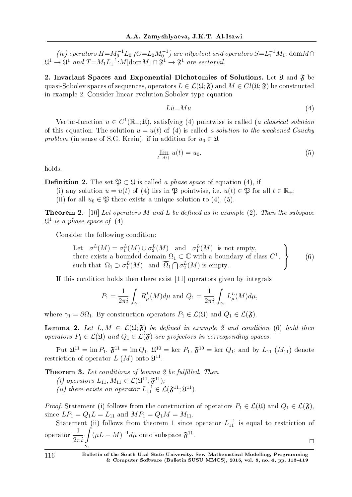(iv) operators  $H = M_0^{-1}L_0$  ( $G = L_0M_0^{-1}$ ) are nilpotent and operators  $S = L_1^{-1}M_1$ : dom $M \cap$  $\mathfrak{U}^1 \to \mathfrak{U}^1$  and  $T = M_1 L_1^{-1}$ :  $M[\text{dom }M] \cap \mathfrak{F}^1 \to \mathfrak{F}^1$  are sectorial.

2. Invariant Spaces and Exponential Dichotomies of Solutions. Let  $\mathfrak U$  and  $\mathfrak F$  be quasi-Sobolev spaces of sequences, operators  $L \in \mathcal{L}(\mathfrak{U}; \mathfrak{F})$  and  $M \in Cl(\mathfrak{U}; \mathfrak{F})$  be constructed in example 2. Consider linear evolution Sobolev type equation

$$
Li=Mu.\t\t(4)
$$

Vector-function  $u \in C^1(\mathbb{R}_+;\mathfrak{U})$ , satisfying (4) pointwise is called (a classical solution of this equation. The solution  $u = u(t)$  of (4) is called a solution to the weakened Cauchy problem (in sense of S.G. Krein), if in addition for  $u_0 \in \mathfrak{U}$ 

$$
\lim_{t \to 0+} u(t) = u_0. \tag{5}
$$

holds.

**Definition 2.** The set  $\mathfrak{P} \subset \mathfrak{U}$  is called a phase space of equation (4), if

- (i) any solution  $u = u(t)$  of (4) lies in  $\mathfrak{P}$  pointwise, i.e.  $u(t) \in \mathfrak{P}$  for all  $t \in \mathbb{R}_+$ ;
- (ii) for all  $u_0 \in \mathfrak{P}$  there exists a unique solution to (4), (5).

**Theorem 2.** [10] Let operators M and L be defined as in example (2). Then the subspace  $\mathfrak{U}^1$  is a phase space of (4).

Consider the following condition:

Let 
$$
\sigma^L(M) = \sigma_1^L(M) \cup \sigma_2^L(M)
$$
 and  $\sigma_1^L(M)$  is not empty,  
there exists a bounded domain  $\Omega_1 \subset \mathbb{C}$  with a boundary of class  $C^1$ ,  
such that  $\Omega_1 \supset \sigma_1^L(M)$  and  $\overline{\Omega}_1 \cap \sigma_2^L(M)$  is empty. (6)

If this condition holds then there exist [11] operators given by integrals

$$
P_1=\frac{1}{2\pi i}\int_{\gamma_1}R^L_{\mu}(M)d\mu \text{ and } Q_1=\frac{1}{2\pi i}\int_{\gamma_1}L^L_{\mu}(M)d\mu,
$$

where  $\gamma_1 = \partial \Omega_1$ . By construction operators  $P_1 \in \mathcal{L}(\mathfrak{U})$  and  $Q_1 \in \mathcal{L}(\mathfrak{F})$ .

**Lemma 2.** Let  $L, M \in \mathcal{L}(\mathfrak{U}; \mathfrak{F})$  be defined in example 2 and condition (6) hold then operators  $P_1 \in \mathcal{L}(\mathfrak{U})$  and  $Q_1 \in \mathcal{L}(\mathfrak{F})$  are projectors in corresponding spaces.

 ${\rm Put} \ \mathfrak{U}^{11} = \mathop{\rm im}\nolimits P_1, \ \mathfrak{F}^{11} = \mathop{\rm im}\nolimits Q_1, \ \mathfrak{U}^{10} = \mathop{\rm ker}\nolimits \ P_1, \ \mathfrak{F}^{10} = \mathop{\rm ker}\nolimits \ Q_1; \ {\rm and \ by} \ L_{11} \ (M_{11}) \ {\rm denote}$ restriction of operator  $L(M)$  onto  $\mathfrak{U}^{11}$ .

Theorem 3. Let conditions of lemma 2 be fulfilled. Then

(*i*) operators  $L_{11}, M_{11} \in \mathcal{L}(\mathfrak{U}^{11}; \mathfrak{F}^{11});$ 

(*ii*) there exists an operator  $L_{11}^{-1} \in \mathcal{L}(\mathfrak{F}^{11}; \mathfrak{U}^{11}).$ 

*Proof.* Statement (i) follows from the construction of operators  $P_1 \in \mathcal{L}(\mathfrak{U})$  and  $Q_1 \in \mathcal{L}(\mathfrak{F})$ , since  $LP_1 = Q_1L = L_{11}$  and  $MP_1 = Q_1M = M_{11}$ .

Statement (ii) follows from theorem 1 since operator  $L_{11}^{-1}$  is equal to restriction of operator  $rac{1}{2\pi i}$ *γ*1  $(\mu L - M)^{-1} d\mu$  onto subspace  $\mathfrak{F}^{11}$ .  $\Box$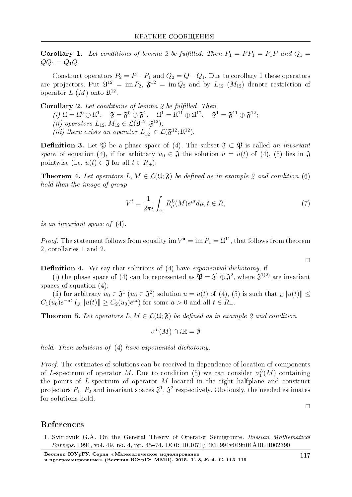**Corollary 1.** Let conditions of lemma 2 be fulfilled. Then  $P_1 = PP_1 = P_1P$  and  $Q_1 =$  $QQ_1 = Q_1 Q.$ 

Construct operators  $P_2 = P - P_1$  and  $Q_2 = Q - Q_1$ . Due to corollary 1 these operators are projectors. Put  $\mathfrak{U}^{12} = \text{im } P_2$ ,  $\mathfrak{F}^{12} = \text{im } Q_2$  and by  $L_{12}$  ( $M_{12}$ ) denote restriction of operator  $L(M)$  onto  $\mathfrak{U}^{12}$ .

**Corollary 2.** Let conditions of lemma 2 be fulfilled. Then (i)  $\mathfrak{U} = \mathfrak{U}^0 \oplus \mathfrak{U}^1$ ,  $\mathfrak{F} = \mathfrak{F}^0 \oplus \mathfrak{F}^1$ ,  $\mathfrak{U}^1 = \mathfrak{U}^{11} \oplus \mathfrak{U}^{12}$ ,  $\mathfrak{F}^1 = \mathfrak{F}^{11} \oplus \mathfrak{F}^{12}$ ;<br>
(ii) operators  $L_{12}, M_{12} \in \mathcal{L}(\mathfrak{U}^{12}; \mathfrak{F}^{12})$ ; (iii) there exists an operator  $L_{12}^{-1} \in \mathcal{L}(\mathfrak{F}^{12}; \mathfrak{U}^{12})$ .

**Definition 3.** Let  $\mathfrak{P}$  be a phase space of (4). The subset  $\mathfrak{J} \subset \mathfrak{P}$  is called an invariant space of equation (4), if for arbitrary  $u_0 \in \mathfrak{J}$  the solution  $u = u(t)$  of (4), (5) lies in  $\mathfrak{J}$ pointwise (i.e.  $u(t) \in \mathfrak{J}$  for all  $t \in R_+$ ).

**Theorem 4.** Let operators  $L, M \in \mathcal{L}(\mathfrak{U}; \mathfrak{F})$  be defined as in example 2 and condition (6) hold then the image of group

$$
V^t = \frac{1}{2\pi i} \int_{\gamma_1} R^L_{\mu}(M) e^{\mu t} d\mu, t \in R,\tag{7}
$$

is an invariant space of  $(4)$ .

*Proof.* The statement follows from equality im  $V^{\bullet} = \text{im } P_1 = \mathfrak{U}^{11}$ , that follows from theorem 2, corollaries 1 and 2.

**Definition 4.** We say that solutions of (4) have exponential dichotomy, if

(i) the phase space of (4) can be represented as  $\mathfrak{P} = \mathfrak{J}^1 \oplus \mathfrak{J}^2$ , where  $\mathfrak{J}^{1(2)}$  are invariant spaces of equation  $(4)$ ;

(ii) for arbitrary  $u_0 \in \mathfrak{J}^1$   $(u_0 \in \mathfrak{J}^2)$  solution  $u = u(t)$  of (4), (5) is such that  $\mathfrak{u} \|u(t)\| \leq$  $C_1(u_0)e^{-at}$  (u||u(t)||  $\geq C_2(u_0)e^{at}$  for some  $a > 0$  and all  $t \in R_+$ .

**Theorem 5.** Let operators  $L, M \in \mathcal{L}(\mathfrak{U}; \mathfrak{F})$  be defined as in example 2 and condition

$$
\sigma^L(M) \cap i\mathbb{R} = \emptyset
$$

hold. Then solutions of (4) have exponential dichotomy.

*Proof.* The estimates of solutions can be received in dependence of location of components of L-spectrum of operator M. Due to condition (5) we can consider  $\sigma_1^L(M)$  containing the points of L-spectrum of operator  $M$  located in the right halfplane and construct projectors  $P_1$ ,  $P_2$  and invariant spaces  $\mathfrak{J}^1$ ,  $\mathfrak{J}^2$  respectively. Obviously, the needed estimates for solutions hold.

 $\Box$ 

 $\Box$ 

## References

1. Sviridyuk G.A. On the General Theory of Operator Semigroups. Russian Mathematical Surveys, 1994, vol. 49, no. 4, pp. 45-74. DOI: 10.1070/RM1994v049n04ABEH002390

Вестник ЮУрГУ. Серия «Математическое моделирование и программирование» (Вестник ЮУрГУ ММП). 2015. Т. 8, № 4. С. 113-119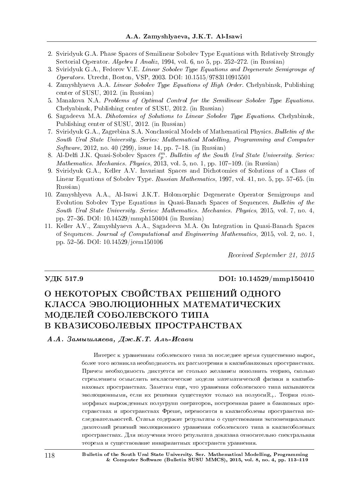- 2. Sviridyuk G.A. Phase Spaces of Semilinear Sobolev Type Equations with Relatively Strongly Sectorial Operator. Algebra I Analiz, 1994, vol. 6, no 5, pp.  $252-272$ . (in Russian)
- 3. Sviridyuk G.A., Fedorov V.E. Linear Sobolev Type Equations and Degenerate Semigroups of Operators. Utrecht, Boston, VSP, 2003. DOI: 10.1515/9783110915501
- 4. Zamyshlyaeva A.A. Linear Sobolev Type Equations of High Order. Chelyabinsk, Publishing center of SUSU, 2012. (in Russian)
- 5. Manakova N.A. Problems of Optimal Control for the Semilinear Sobolev Type Equations. Chelyabinsk, Publishing center of SUSU, 2012. (in Russian)
- 6. Sagadeeva M.A. Dihotomies of Solutions to Linear Sobolev Type Equations. Chelyabinsk, Publishing center of SUSU, 2012. (in Russian)
- 7. Sviridyuk G.A., Zagrebina S.A. Nonclassical Models of Mathematical Physics. Bulletin of the South Ural State University. Series: Mathematical Modelling, Programming and Computer  $Software, 2012, no. 40 (299), issue 14, pp. 7–18. (in Russian)$
- 8. Al-Delfi J.K. Quasi-Sobolev Spaces  $\ell_p^m$ . Bulletin of the South Ural State University. Series: Mathematics. Mechanics. Physics, 2013, vol. 5, no. 1, pp. 107-109. (in Russian)
- 9. Sviridyuk G.A., Keller A.V. Invariant Spaces and Dichotomies of Solutions of a Class of Linear Equations of Sobolev Type. Russian Mathematics, 1997, vol. 41, no. 5, pp. 57–65. (in Russian)
- 10. Zamyshlyeva A.A., Al-Isawi J.K.T. Holomorphic Degenerate Operator Semigroups and Evolution Sobolev Type Equations in Quasi-Banach Spaces of Sequences. Bulletin of the South Ural State University. Series: Mathematics. Mechanics. Physics, 2015, vol. 7, no. 4, pp. 2736. DOI: 10.14529/mmph150404 (in Russian)
- 11. Keller A.V., Zamyshlyaeva A.A., Sagadeeva M.A. On Integration in Quasi-Banach Spaces of Sequences. Journal of Computational and Engineering Mathematics, 2015, vol. 2, no. 1, pp. 5256. DOI: 10.14529/jcem150106

Received September 21, 2015

#### VДK 517.9 DOI: 10.14529/mmp150410

# О НЕКОТОРЫХ СВОЙСТВАХ РЕШЕНИЙ ОДНОГО КЛАССА ЭВОЛЮЦИОННЫХ МАТЕМАТИЧЕСКИХ МОДЕЛЕЙ СОБОЛЕВСКОГО ТИПА В КВАЗИСОБОЛЕВЫХ ПРОСТРАНСТВАХ

### $A.A.$  Замышляева, Дж.К.Т. Аль-Исави

Интерес к уравнениям соболевского типа за последнее время существенно вырос, более того возникла необходимость их рассмотрения в квазибанаховых пространствах. Причем необходимость диктуется не столько желанием пополнить теорию, сколько стремлением осмыслить неклассические модели математической физики в квазибанаховых пространствах. Заметим еще, что уравнения соболевского типа называются эволюционными, если их решения существуют только на полуоси $\mathbb{R}_+$ . Теория голоморфных вырожденных полугрупп операторов, построенная ранее в банаховых пространствах и пространствах Фреше, переносится в квазисоболевы пространства последовательностей. Статья содержит результаты о существовании экспоненциальных дихотомий решений эволюционного уравнения соболевского типа в квазисоболевых пространствах. Для получения этого результата доказана относительно спектральная теорема и существование инвариантных пространств уравнения.